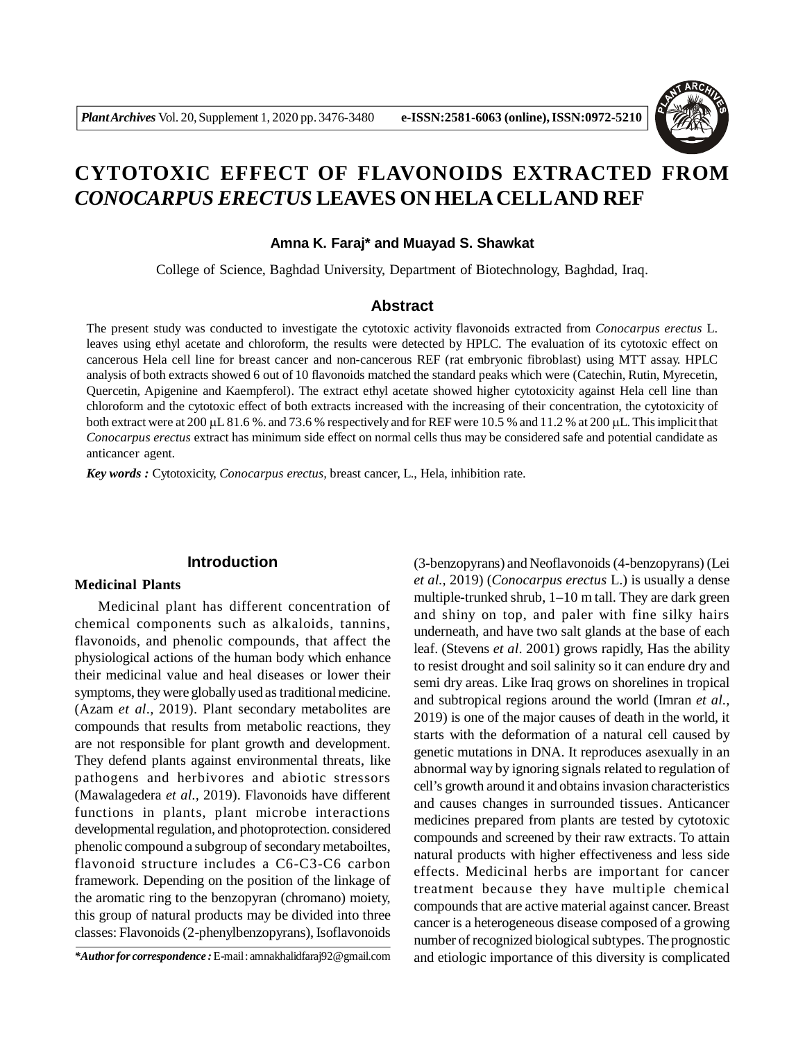

# **CYTOTOXIC EFFECT OF FLAVONOIDS EXTRACTED FROM** *CONOCARPUS ERECTUS* **LEAVES ON HELA CELLAND REF**

#### **Amna K. Faraj\* and Muayad S. Shawkat**

College of Science, Baghdad University, Department of Biotechnology, Baghdad, Iraq.

# **Abstract**

The present study was conducted to investigate the cytotoxic activity flavonoids extracted from *Conocarpus erectus* L. leaves using ethyl acetate and chloroform, the results were detected by HPLC. The evaluation of its cytotoxic effect on cancerous Hela cell line for breast cancer and non-cancerous REF (rat embryonic fibroblast) using MTT assay. HPLC analysis of both extracts showed 6 out of 10 flavonoids matched the standard peaks which were (Catechin, Rutin, Myrecetin, Quercetin, Apigenine and Kaempferol). The extract ethyl acetate showed higher cytotoxicity against Hela cell line than chloroform and the cytotoxic effect of both extracts increased with the increasing of their concentration, the cytotoxicity of both extract were at 200  $\mu$ L 81.6 %. and 73.6 % respectively and for REF were 10.5 % and 11.2 % at 200  $\mu$ L. This implicit that *Conocarpus erectus* extract has minimum side effect on normal cells thus may be considered safe and potential candidate as anticancer agent.

*Key words :* Cytotoxicity, *Conocarpus erectus,* breast cancer, L., Hela, inhibition rate.

## **Introduction**

# **Medicinal Plants**

Medicinal plant has different concentration of chemical components such as alkaloids, tannins, flavonoids, and phenolic compounds, that affect the physiological actions of the human body which enhance their medicinal value and heal diseases or lower their symptoms, they were globally used as traditional medicine. (Azam *et al.,* 2019). Plant secondary metabolites are compounds that results from metabolic reactions, they are not responsible for plant growth and development. They defend plants against environmental threats, like pathogens and herbivores and abiotic stressors (Mawalagedera *et al.,* 2019). Flavonoids have different functions in plants, plant microbe interactions developmental regulation, and photoprotection. considered phenolic compound a subgroup of secondary metaboiltes, flavonoid structure includes a C6-C3-C6 carbon framework. Depending on the position of the linkage of the aromatic ring to the benzopyran (chromano) moiety, this group of natural products may be divided into three classes: Flavonoids (2-phenylbenzopyrans), Isoflavonoids

(3-benzopyrans) and Neoflavonoids (4-benzopyrans) (Lei *et al.,* 2019) (*Conocarpus erectus* L.) is usually a dense multiple-trunked shrub, 1–10 m tall. They are dark green and shiny on top, and paler with fine silky hairs underneath, and have two salt glands at the base of each leaf. (Stevens *et al*. 2001) grows rapidly, Has the ability to resist drought and soil salinity so it can endure dry and semi dry areas. Like Iraq grows on shorelines in tropical and subtropical regions around the world (Imran *et al.,* 2019) is one of the major causes of death in the world, it starts with the deformation of a natural cell caused by genetic mutations in DNA. It reproduces asexually in an abnormal way by ignoring signals related to regulation of cell's growth around it and obtains invasion characteristics and causes changes in surrounded tissues. Anticancer medicines prepared from plants are tested by cytotoxic compounds and screened by their raw extracts. To attain natural products with higher effectiveness and less side effects. Medicinal herbs are important for cancer treatment because they have multiple chemical compounds that are active material against cancer. Breast cancer is a heterogeneous disease composed of a growing number of recognized biological subtypes. The prognostic and etiologic importance of this diversity is complicated

*<sup>\*</sup>Author for correspondence :* E-mail : amnakhalidfaraj92@gmail.com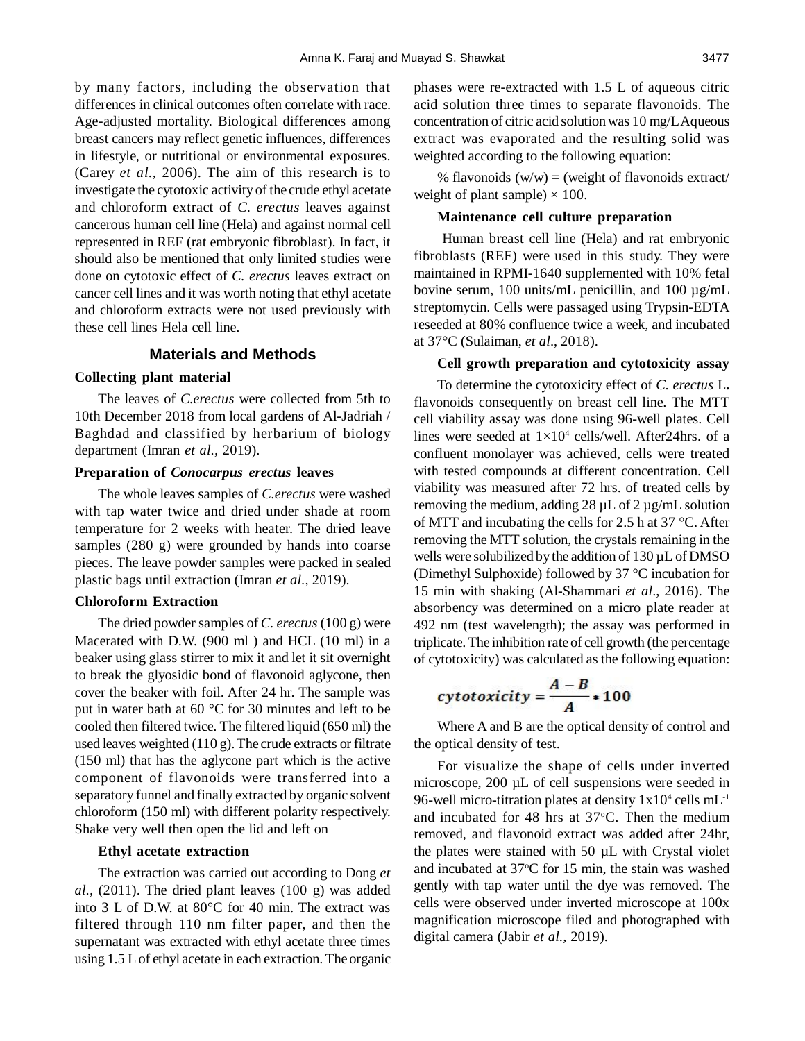by many factors, including the observation that differences in clinical outcomes often correlate with race. Age-adjusted mortality. Biological differences among breast cancers may reflect genetic influences, differences in lifestyle, or nutritional or environmental exposures. (Carey *et al.,* 2006). The aim of this research is to investigate the cytotoxic activity of the crude ethyl acetate and chloroform extract of *C. erectus* leaves against cancerous human cell line (Hela) and against normal cell represented in REF (rat embryonic fibroblast). In fact, it should also be mentioned that only limited studies were done on cytotoxic effect of *C. erectus* leaves extract on cancer cell lines and it was worth noting that ethyl acetate and chloroform extracts were not used previously with these cell lines Hela cell line.

# **Materials and Methods**

#### **Collecting plant material**

The leaves of *C.erectus* were collected from 5th to 10th December 2018 from local gardens of Al-Jadriah / Baghdad and classified by herbarium of biology department (Imran *et al.,* 2019).

#### **Preparation of** *Conocarpus erectus* **leaves**

The whole leaves samples of *C.erectus* were washed with tap water twice and dried under shade at room temperature for 2 weeks with heater. The dried leave samples (280 g) were grounded by hands into coarse pieces. The leave powder samples were packed in sealed plastic bags until extraction (Imran *et al.,* 2019).

## **Chloroform Extraction**

The dried powder samples of *C. erectus* (100 g) were Macerated with D.W. (900 ml ) and HCL (10 ml) in a beaker using glass stirrer to mix it and let it sit overnight to break the glyosidic bond of flavonoid aglycone, then cover the beaker with foil. After 24 hr. The sample was put in water bath at 60 °C for 30 minutes and left to be cooled then filtered twice. The filtered liquid (650 ml) the used leaves weighted (110 g). The crude extracts or filtrate (150 ml) that has the aglycone part which is the active component of flavonoids were transferred into a separatory funnel and finally extracted by organic solvent chloroform (150 ml) with different polarity respectively. Shake very well then open the lid and left on

## **Ethyl acetate extraction**

The extraction was carried out according to Dong *et al.,* (2011). The dried plant leaves (100 g) was added into 3 L of D.W. at 80°C for 40 min. The extract was filtered through 110 nm filter paper, and then the supernatant was extracted with ethyl acetate three times using 1.5 L of ethyl acetate in each extraction. The organic phases were re-extracted with 1.5 L of aqueous citric acid solution three times to separate flavonoids. The concentration of citric acid solution was 10 mg/L Aqueous extract was evaporated and the resulting solid was weighted according to the following equation:

% flavonoids  $(w/w) = (weight of flavonoids extract/$ weight of plant sample)  $\times$  100.

## **Maintenance cell culture preparation**

Human breast cell line (Hela) and rat embryonic fibroblasts (REF) were used in this study. They were maintained in RPMI-1640 supplemented with 10% fetal bovine serum, 100 units/mL penicillin, and 100 µg/mL streptomycin. Cells were passaged using Trypsin-EDTA reseeded at 80% confluence twice a week, and incubated at 37°C (Sulaiman, *et al*., 2018).

#### **Cell growth preparation and cytotoxicity assay**

To determine the cytotoxicity effect of *C. erectus* L**.** flavonoids consequently on breast cell line. The MTT cell viability assay was done using 96-well plates. Cell lines were seeded at  $1\times10^4$  cells/well. After24hrs. of a confluent monolayer was achieved, cells were treated with tested compounds at different concentration. Cell viability was measured after 72 hrs. of treated cells by removing the medium, adding 28  $\mu$ L of 2  $\mu$ g/mL solution of MTT and incubating the cells for 2.5 h at 37 °C. After removing the MTT solution, the crystals remaining in the wells were solubilized by the addition of 130 µL of DMSO (Dimethyl Sulphoxide) followed by 37 °C incubation for 15 min with shaking (Al-Shammari *et al*., 2016). The absorbency was determined on a micro plate reader at 492 nm (test wavelength); the assay was performed in triplicate. The inhibition rate of cell growth (the percentage of cytotoxicity) was calculated as the following equation:

$$
cy to toxicity = \frac{A-B}{A}*100
$$

Where A and B are the optical density of control and the optical density of test.

For visualize the shape of cells under inverted microscope, 200 µL of cell suspensions were seeded in 96-well micro-titration plates at density  $1x10^4$  cells mL<sup>-1</sup> and incubated for 48 hrs at  $37^{\circ}$ C. Then the medium removed, and flavonoid extract was added after 24hr, the plates were stained with 50 µL with Crystal violet and incubated at  $37^{\circ}$ C for 15 min, the stain was washed gently with tap water until the dye was removed. The cells were observed under inverted microscope at 100x magnification microscope filed and photographed with digital camera (Jabir *et al.,* 2019).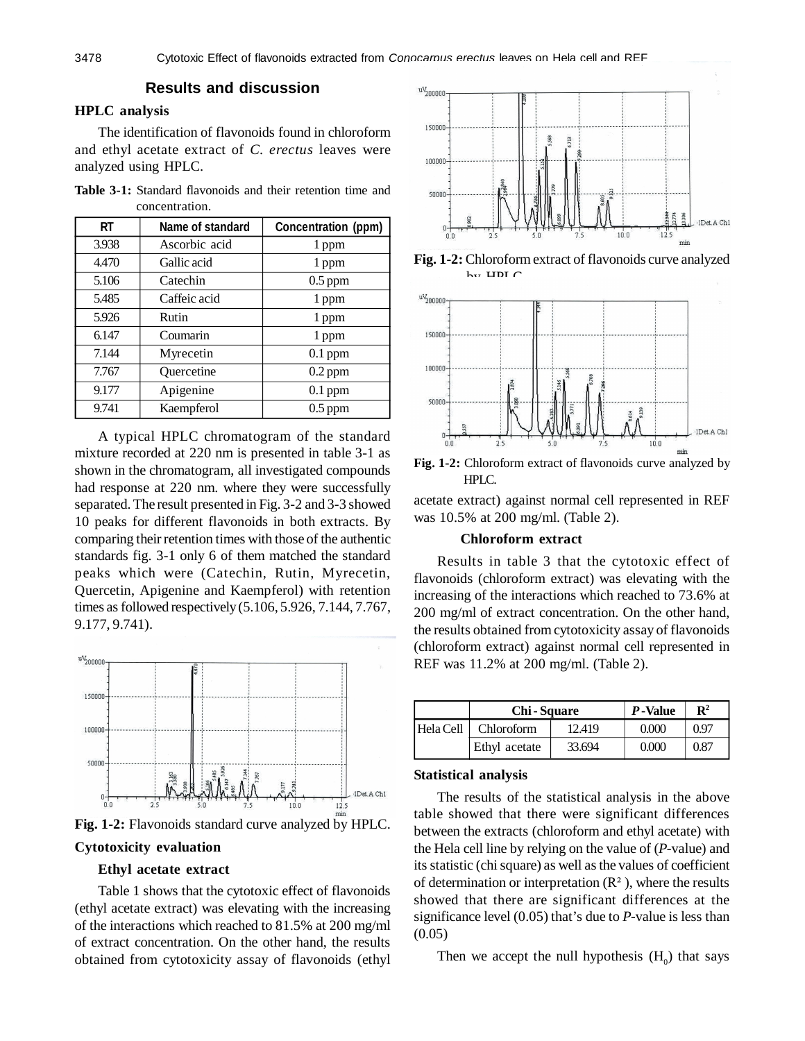# **Results and discussion**

## **HPLC analysis**

The identification of flavonoids found in chloroform and ethyl acetate extract of *C. erectus* leaves were analyzed using HPLC.

**Table 3-1:** Standard flavonoids and their retention time and concentration.

| RT    | Name of standard | Concentration (ppm) |  |
|-------|------------------|---------------------|--|
| 3.938 | Ascorbic acid    | 1 ppm               |  |
| 4.470 | Gallic acid      | 1 ppm               |  |
| 5.106 | Catechin         | $0.5$ ppm           |  |
| 5.485 | Caffeic acid     | 1 ppm               |  |
| 5.926 | Rutin            | 1 ppm               |  |
| 6.147 | Coumarin         | 1 ppm               |  |
| 7.144 | Myrecetin        | $0.1$ ppm           |  |
| 7.767 | Quercetine       | $0.2$ ppm           |  |
| 9.177 | Apigenine        | $0.1$ ppm           |  |
| 9.741 | Kaempferol       | $0.5$ ppm           |  |

A typical HPLC chromatogram of the standard mixture recorded at 220 nm is presented in table 3-1 as shown in the chromatogram, all investigated compounds had response at 220 nm. where they were successfully separated. The result presented in Fig. 3-2 and 3-3 showed 10 peaks for different flavonoids in both extracts. By comparing their retention times with those of the authentic standards fig. 3-1 only 6 of them matched the standard peaks which were (Catechin, Rutin, Myrecetin, Quercetin, Apigenine and Kaempferol) with retention times as followed respectively (5.106, 5.926, 7.144, 7.767, 9.177, 9.741).



**Fig. 1-2:** Flavonoids standard curve analyzed by HPLC.

# **Cytotoxicity evaluation**

## **Ethyl acetate extract**

Table 1 shows that the cytotoxic effect of flavonoids (ethyl acetate extract) was elevating with the increasing of the interactions which reached to 81.5% at 200 mg/ml of extract concentration. On the other hand, the results obtained from cytotoxicity assay of flavonoids (ethyl



**Fig. 1-2:** Chloroform extract of flavonoids curve analyzed  $b_{\text{tot}}$  HDLC



**Fig. 1-2:** Chloroform extract of flavonoids curve analyzed by HPLC.

acetate extract) against normal cell represented in REF was 10.5% at 200 mg/ml. (Table 2).

## **Chloroform extract**

Results in table 3 that the cytotoxic effect of flavonoids (chloroform extract) was elevating with the increasing of the interactions which reached to 73.6% at 200 mg/ml of extract concentration. On the other hand, the results obtained from cytotoxicity assay of flavonoids (chloroform extract) against normal cell represented in REF was 11.2% at 200 mg/ml. (Table 2).

|           | <b>Chi-Square</b> | P-Value | $\mathbf{R}^2$ |      |
|-----------|-------------------|---------|----------------|------|
| Hela Cell | Chloroform        | 12.419  | 0.000          | 0.97 |
|           | Ethyl acetate     | 33.694  | 0.000          | 0.87 |

## **Statistical analysis**

The results of the statistical analysis in the above table showed that there were significant differences between the extracts (chloroform and ethyl acetate) with the Hela cell line by relying on the value of (*P*-value) and its statistic (chi square) as well as the values of coefficient of determination or interpretation  $(R^2)$ , where the results showed that there are significant differences at the significance level (0.05) that's due to *P*-value is less than  $(0.05)$ 

Then we accept the null hypothesis  $(H_0)$  that says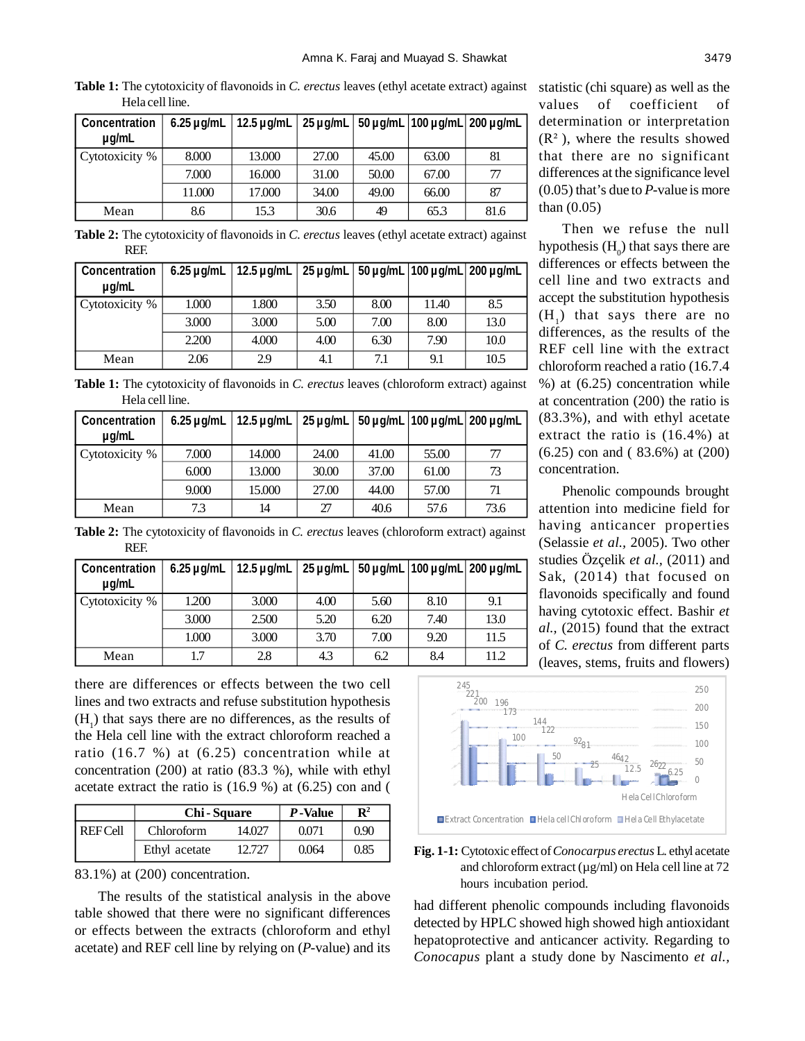**Table 1:** The cytotoxicity of flavonoids in *C. erectus* leaves (ethyl acetate extract) against Hela cell line.

| <b>Concentration</b><br>$\mu$ g/mL | $6.25 \mu$ g/mL | 12.5 μg/mL   25 μg/mL   50 μg/mL   100 μg/mL   200 μg/mL |       |       |       |      |
|------------------------------------|-----------------|----------------------------------------------------------|-------|-------|-------|------|
| Cytotoxicity %                     | 8.000           | 13.000                                                   | 27.00 | 45.00 | 63.00 | 81   |
|                                    | 7.000           | 16.000                                                   | 31.00 | 50.00 | 67.00 | 77   |
|                                    | 11.000          | 17.000                                                   | 34.00 | 49.00 | 66.00 | 87   |
| Mean                               | 8.6             | 15.3                                                     | 30.6  | 49    | 65.3  | 81.6 |

**Table 2:** The cytotoxicity of flavonoids in *C. erectus* leaves (ethyl acetate extract) against REF.

| <b>Concentration</b><br>$\mu$ g/mL | 6.25 $\mu$ g/mL | 12.5 $\mu$ g/mL   25 $\mu$ g/mL   50 $\mu$ g/mL   100 $\mu$ g/mL   200 $\mu$ g/mL |      |      |       |      |
|------------------------------------|-----------------|-----------------------------------------------------------------------------------|------|------|-------|------|
| Cytotoxicity %                     | 1.000           | 1.800                                                                             | 3.50 | 8.00 | 11.40 | 8.5  |
|                                    | 3.000           | 3.000                                                                             | 5.00 | 7.00 | 8.00  | 13.0 |
|                                    | 2.200           | 4.000                                                                             | 4.00 | 6.30 | 7.90  | 10.0 |
| Mean                               | 2.06            | 2.9                                                                               | 4.1  | 7.1  | 9.1   | 10.5 |

**Table 1:** The cytotoxicity of flavonoids in *C. erectus* leaves (chloroform extract) against Hela cell line.

| <b>Concentration</b><br>$\mu$ g/mL | 6.25 $\mu$ g/mL | $ 12.5 \mu$ g/mL $ $ | $25 \mu$ g/mL |       |       | 50 μg/mL   100 μg/mL   200 μg/mL |
|------------------------------------|-----------------|----------------------|---------------|-------|-------|----------------------------------|
| Cytotoxicity %                     | 7.000           | 14.000               | 24.00         | 41.00 | 55.00 |                                  |
|                                    | 6.000           | 13.000               | 30.00         | 37.00 | 61.00 | 73                               |
|                                    | 9.000           | 15.000               | 27.00         | 44.00 | 57.00 | 71                               |
| Mean                               | 7.3             | 14                   | 27            | 40.6  | 57.6  | 73.6                             |

statistic (chi square) as well as the values of coefficient of determination or interpretation  $(R<sup>2</sup>)$ , where the results showed that there are no significant differences at the significance level (0.05) that's due to *P*-value is more than (0.05)

Then we refuse the null hypothesis  $(H_0)$  that says there are differences or effects between the cell line and two extracts and accept the substitution hypothesis  $(H_1)$  that says there are no differences, as the results of the REF cell line with the extract chloroform reached a ratio (16.7.4 %) at (6.25) concentration while at concentration (200) the ratio is (83.3%), and with ethyl acetate extract the ratio is (16.4%) at (6.25) con and ( 83.6%) at (200) concentration.

Phenolic compounds brought attention into medicine field for having anticancer properties (Selassie *et al.,* 2005). Two other studies Özçelik *et al.,* (2011) and Sak, (2014) that focused on flavonoids specifically and found having cytotoxic effect. Bashir *et al.,* (2015) found that the extract of *C. erectus* from different parts (leaves, stems, fruits and flowers)

**Table 2:** The cytotoxicity of flavonoids in *C. erectus* leaves (chloroform extract) against REF.

| <b>Concentration</b><br>$\mu q/mL$ |       | 6.25 $\mu$ g/mL   12.5 $\mu$ g/mL   25 $\mu$ g/mL   50 $\mu$ g/mL   100 $\mu$ g/mL   200 $\mu$ g/mL |      |      |      |      |
|------------------------------------|-------|-----------------------------------------------------------------------------------------------------|------|------|------|------|
| Cytotoxicity %                     | 1.200 | 3.000                                                                                               | 4.00 | 5.60 | 8.10 | 9.1  |
|                                    | 3.000 | 2.500                                                                                               | 5.20 | 6.20 | 7.40 | 13.0 |
|                                    | 1.000 | 3.000                                                                                               | 3.70 | 7.00 | 9.20 | 11.5 |
| Mean                               | 1.7   | 2.8                                                                                                 | 4.3  | 6.2  | 8.4  | 11.2 |

there are differences or effects between the two cell lines and two extracts and refuse substitution hypothesis  $(H<sub>1</sub>)$  that says there are no differences, as the results of the Hela cell line with the extract chloroform reached a ratio (16.7 %) at (6.25) concentration while at concentration (200) at ratio (83.3 %), while with ethyl acetate extract the ratio is  $(16.9 \%)$  at  $(6.25)$  con and  $($ 

|                | <b>Chi-Square</b> | P-Value | $\mathbf{R}^2$ |      |
|----------------|-------------------|---------|----------------|------|
| <b>REFCell</b> | Chloroform        | 14.027  | 0.071          | 0.90 |
|                | Ethyl acetate     | 12.727  | 0.064          | 0.85 |

83.1%) at (200) concentration.

The results of the statistical analysis in the above table showed that there were no significant differences or effects between the extracts (chloroform and ethyl acetate) and REF cell line by relying on (*P*-value) and its



**Fig. 1-1:** Cytotoxic effect of *Conocarpus erectus* L. ethyl acetate and chloroform extract  $(\mu g/ml)$  on Hela cell line at 72 hours incubation period.

had different phenolic compounds including flavonoids detected by HPLC showed high showed high antioxidant hepatoprotective and anticancer activity. Regarding to *Conocapus* plant a study done by Nascimento *et al.,*